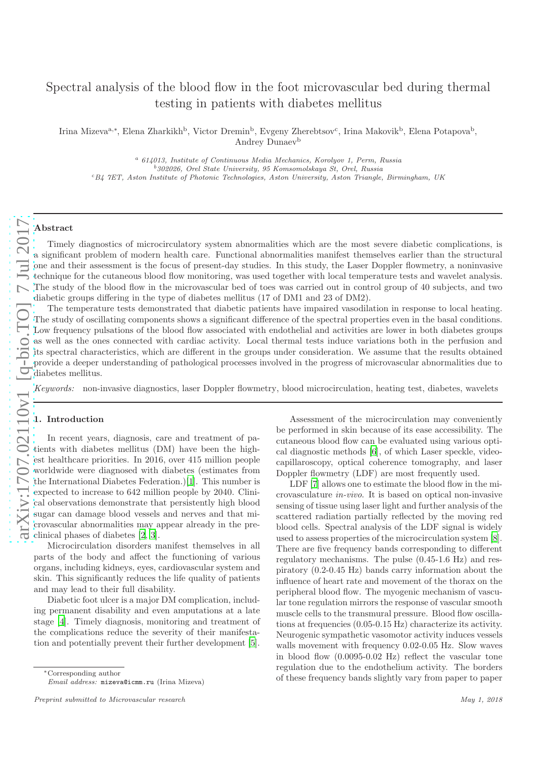# Spectral analysis of the blood flow in the foot microvascular bed during thermal testing in patients with diabetes mellitus

Irina Mizeva<sup>a,∗</sup>, Elena Zharkikh<sup>b</sup>, Victor Dremin<sup>b</sup>, Evgeny Zherebtsov<sup>c</sup>, Irina Makovik<sup>b</sup>, Elena Potapova<sup>b</sup>, Andrey Dunaev<sup>b</sup>

<sup>a</sup> 614013, Institute of Continuous Media Mechanics, Korolyov 1, Perm, Russia  $^{b}$ 302026, Orel State University, 95 Komsomolskaya St, Orel, Russia <sup>c</sup>B4 7ET, Aston Institute of Photonic Technologies, Aston University, Aston Triangle, Birmingham, UK

# Abstract

Timely diagnostics of microcirculatory system abnormalities which are the most severe diabetic complications, is a significant problem of modern health care. Functional abnormalities manifest themselves earlier than the structural one and their assessment is the focus of present-day studies. In this study, the Laser Doppler flowmetry, a noninvasive technique for the cutaneous blood flow monitoring, was used together with local temperature tests and wavelet analysis. The study of the blood flow in the microvascular bed of toes was carried out in control group of 40 subjects, and two diabetic groups differing in the type of diabetes mellitus (17 of DM1 and 23 of DM2).

The temperature tests demonstrated that diabetic patients have impaired vasodilation in response to local heating. The study of oscillating components shows a significant difference of the spectral properties even in the basal conditions. Low frequency pulsations of the blood flow associated with endothelial and activities are lower in both diabetes groups as well as the ones connected with cardiac activity. Local thermal tests induce variations both in the perfusion and its spectral characteristics, which are different in the groups under consideration. We assume that the results obtained provide a deeper understanding of pathological processes involved in the progress of microvascular abnormalities due to diabetes mellitus.

*Keywords:* non-invasive diagnostics, laser Doppler flowmetry, blood microcirculation, heating test, diabetes, wavelets

#### 1. Introduction

In recent years, diagnosis, care and treatment of patients with diabetes mellitus (DM) have been the highest healthcare priorities. In 2016, over 415 million people worldwide were diagnosed with diabetes (estimates from the International Diabetes Federation.)[\[1\]](#page-5-0). This number is expected to increase to 642 million people by 2040. Clinical observations demonstrate that persistently high blood sugar can damage blood vessels and nerves and that microvascular abnormalities may appear already in the preclinical phases of diabetes [\[2](#page-5-1), [3](#page-5-2)].

Microcirculation disorders manifest themselves in all parts of the body and affect the functioning of various organs, including kidneys, eyes, cardiovascular system and skin. This significantly reduces the life quality of patients and may lead to their full disability.

Diabetic foot ulcer is a major DM complication, including permanent disability and even amputations at a late stage [\[4](#page-5-3)]. Timely diagnosis, monitoring and treatment of the complications reduce the severity of their manifestation and potentially prevent their further development [\[5](#page-5-4)].

<sup>∗</sup>Corresponding author Email address: mizeva@icmm.ru (Irina Mizeva)

Assessment of the microcirculation may conveniently be performed in skin because of its ease accessibility. The cutaneous blood flow can be evaluated using various optical diagnostic methods [\[6\]](#page-5-5), of which Laser speckle, videocapillaroscopy, optical coherence tomography, and laser Doppler flowmetry (LDF) are most frequently used.

LDF [\[7](#page-5-6)] allows one to estimate the blood flow in the microvasculature *in-vivo*. It is based on optical non-invasive sensing of tissue using laser light and further analysis of the scattered radiation partially reflected by the moving red blood cells. Spectral analysis of the LDF signal is widely used to assess properties of the microcirculation system [\[8](#page-5-7)]. There are five frequency bands corresponding to different regulatory mechanisms. The pulse (0.45-1.6 Hz) and respiratory (0.2-0.45 Hz) bands carry information about the influence of heart rate and movement of the thorax on the peripheral blood flow. The myogenic mechanism of vascular tone regulation mirrors the response of vascular smooth muscle cells to the transmural pressure. Blood flow oscillations at frequencies (0.05-0.15 Hz) characterize its activity. Neurogenic sympathetic vasomotor activity induces vessels walls movement with frequency 0.02-0.05 Hz. Slow waves in blood flow (0.0095-0.02 Hz) reflect the vascular tone regulation due to the endothelium activity. The borders of these frequency bands slightly vary from paper to paper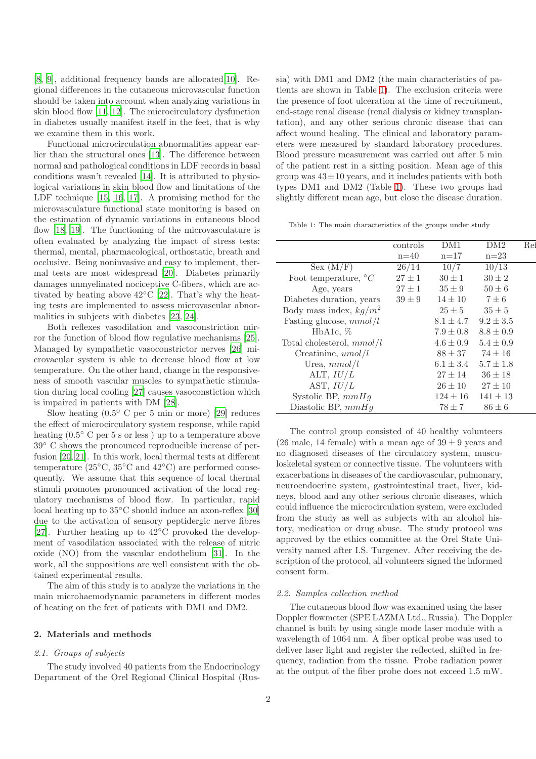[\[8](#page-5-7), [9](#page-5-8)], additional frequency bands are allocated[\[10\]](#page-5-9). Regional differences in the cutaneous microvascular function should be taken into account when analyzing variations in skin blood flow [\[11](#page-5-10), [12\]](#page-5-11). The microcirculatory dysfunction in diabetes usually manifest itself in the feet, that is why we examine them in this work.

Functional microcirculation abnormalities appear earlier than the structural ones [\[13](#page-6-0)]. The difference between normal and pathological conditions in LDF records in basal conditions wasn't revealed [\[14\]](#page-6-1). It is attributed to physiological variations in skin blood flow and limitations of the LDF technique [\[15,](#page-6-2) [16,](#page-6-3) [17\]](#page-6-4). A promising method for the microvasculature functional state monitoring is based on the estimation of dynamic variations in cutaneous blood flow [\[18,](#page-6-5) [19\]](#page-6-6). The functioning of the microvasculature is often evaluated by analyzing the impact of stress tests: thermal, mental, pharmacological, orthostatic, breath and occlusive. Being noninvasive and easy to implement, thermal tests are most widespread [\[20](#page-6-7)]. Diabetes primarily damages unmyelinated nociceptive C-fibers, which are activated by heating above  $42^{\circ}$ C [\[22\]](#page-6-8). That's why the heating tests are implemented to assess microvascular abnormalities in subjects with diabetes [\[23,](#page-6-9) [24\]](#page-6-10).

Both reflexes vasodilation and vasoconstriction mirror the function of blood flow regulative mechanisms [\[25](#page-6-11)]. Managed by sympathetic vasoconstrictor nerves [\[26](#page-6-12)] microvacular system is able to decrease blood flow at low temperature. On the other hand, change in the responsiveness of smooth vascular muscles to sympathetic stimulation during local cooling [\[27\]](#page-6-13) causes vasoconstiction which is impaired in patients with DM [\[28](#page-6-14)].

Slow heating  $(0.5^{\text{0}} \text{ C per } 5 \text{ min or more})$  [\[29\]](#page-6-15) reduces the effect of microcirculatory system response, while rapid heating  $(0.5^{\circ} \text{ C per } 5 \text{ s or less })$  up to a temperature above 39◦ C shows the pronounced reproducible increase of perfusion [\[20,](#page-6-7) [21\]](#page-6-16). In this work, local thermal tests at different temperature ( $25\textdegree$ C,  $35\textdegree$ C and  $42\textdegree$ C) are performed consequently. We assume that this sequence of local thermal stimuli promotes pronounced activation of the local regulatory mechanisms of blood flow. In particular, rapid local heating up to 35◦C should induce an axon-reflex [\[30\]](#page-6-17) due to the activation of sensory peptidergic nerve fibres [\[27](#page-6-13)]. Further heating up to 42°C provoked the development of vasodilation associated with the release of nitric oxide (NO) from the vascular endothelium [\[31\]](#page-6-18). In the work, all the suppositions are well consistent with the obtained experimental results.

The aim of this study is to analyze the variations in the main microhaemodynamic parameters in different modes of heating on the feet of patients with DM1 and DM2.

# 2. Materials and methods

# *2.1. Groups of subjects*

The study involved 40 patients from the Endocrinology Department of the Orel Regional Clinical Hospital (Russia) with DM1 and DM2 (the main characteristics of patients are shown in Table [1\)](#page-1-0). The exclusion criteria were the presence of foot ulceration at the time of recruitment, end-stage renal disease (renal dialysis or kidney transplantation), and any other serious chronic disease that can affect wound healing. The clinical and laboratory parameters were measured by standard laboratory procedures. Blood pressure measurement was carried out after 5 min of the patient rest in a sitting position. Mean age of this group was  $43\pm10$  years, and it includes patients with both types DM1 and DM2 (Table [1\)](#page-1-0). These two groups had slightly different mean age, but close the disease duration.

<span id="page-1-0"></span>Table 1: The main characteristics of the groups under study

|                                 | controls   | DM1           | DM2           | Ref |
|---------------------------------|------------|---------------|---------------|-----|
|                                 | $n=40$     | $n=17$        | $n=23$        |     |
| Sex (M/F)                       | 26/14      | 10/7          | 10/13         |     |
| Foot temperature, ${}^{\circ}C$ | $27 \pm 1$ | $30 \pm 1$    | $30 \pm 2$    |     |
| Age, years                      | $27 \pm 1$ | $35 \pm 9$    | $50 \pm 6$    |     |
| Diabetes duration, years        | $39 \pm 9$ | $14 \pm 10$   | $7 \pm 6$     |     |
| Body mass index, $kq/m^2$       |            | $25 \pm 5$    | $35 \pm 5$    |     |
| Fasting glucose, $mmol/l$       |            | $8.1 \pm 4.7$ | $9.2 \pm 3.5$ |     |
| HbA <sub>1c</sub> , $\%$        |            | $7.9 \pm 0.8$ | $8.8 \pm 0.9$ |     |
| Total cholesterol, $mmol/l$     |            | $4.6 \pm 0.9$ | $5.4 \pm 0.9$ |     |
| Creatinine, $umol/l$            |            | $88 \pm 37$   | $74 \pm 16$   |     |
| Urea, $mmol/l$                  |            | $6.1 \pm 3.4$ | $5.7 \pm 1.8$ |     |
| ALT, $IU/L$                     |            | $27 \pm 14$   | $36 \pm 18$   |     |
| AST, $IU/L$                     |            | $26 \pm 10$   | $27 \pm 10$   |     |
| Systolic BP, $mmHg$             |            | $124 \pm 16$  | $141 \pm 13$  |     |
| Diastolic BP, $mmHg$            |            | $78 \pm 7$    | $86 \pm 6$    |     |

The control group consisted of 40 healthy volunteers (26 male, 14 female) with a mean age of  $39 \pm 9$  years and no diagnosed diseases of the circulatory system, musculoskeletal system or connective tissue. The volunteers with exacerbations in diseases of the cardiovascular, pulmonary, neuroendocrine system, gastrointestinal tract, liver, kidneys, blood and any other serious chronic diseases, which could influence the microcirculation system, were excluded from the study as well as subjects with an alcohol history, medication or drug abuse. The study protocol was approved by the ethics committee at the Orel State University named after I.S. Turgenev. After receiving the description of the protocol, all volunteers signed the informed consent form.

#### *2.2. Samples collection method*

The cutaneous blood flow was examined using the laser Doppler flowmeter (SPE LAZMA Ltd., Russia). The Doppler channel is built by using single mode laser module with a wavelength of 1064 nm. A fiber optical probe was used to deliver laser light and register the reflected, shifted in frequency, radiation from the tissue. Probe radiation power at the output of the fiber probe does not exceed 1.5 mW.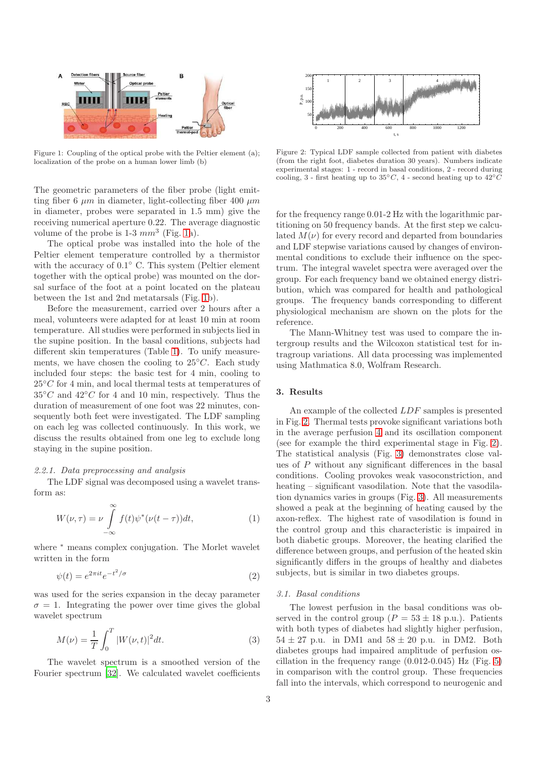

<span id="page-2-0"></span>Figure 1: Coupling of the optical probe with the Peltier element (a); localization of the probe on a human lower limb (b)

The geometric parameters of the fiber probe (light emitting fiber 6  $\mu$ m in diameter, light-collecting fiber 400  $\mu$ m in diameter, probes were separated in 1.5 mm) give the receiving numerical aperture 0.22. The average diagnostic volume of the probe is  $1-3 \, mm^3$  (Fig. [1a](#page-2-0)).

The optical probe was installed into the hole of the Peltier element temperature controlled by a thermistor with the accuracy of  $0.1^{\circ}$  C. This system (Peltier element together with the optical probe) was mounted on the dorsal surface of the foot at a point located on the plateau between the 1st and 2nd metatarsals (Fig. [1b](#page-2-0)).

Before the measurement, carried over 2 hours after a meal, volunteers were adapted for at least 10 min at room temperature. All studies were performed in subjects lied in the supine position. In the basal conditions, subjects had different skin temperatures (Table [1\)](#page-1-0). To unify measurements, we have chosen the cooling to  $25°C$ . Each study included four steps: the basic test for 4 min, cooling to  $25^{\circ}$ C for 4 min, and local thermal tests at temperatures of  $35\degree C$  and  $42\degree C$  for 4 and 10 min, respectively. Thus the duration of measurement of one foot was 22 minutes, consequently both feet were investigated. The LDF sampling on each leg was collected continuously. In this work, we discuss the results obtained from one leg to exclude long staying in the supine position.

#### *2.2.1. Data preprocessing and analysis*

The LDF signal was decomposed using a wavelet transform as:

$$
W(\nu,\tau) = \nu \int_{-\infty}^{\infty} f(t)\psi^*(\nu(t-\tau))dt,
$$
\n(1)

where <sup>∗</sup> means complex conjugation. The Morlet wavelet written in the form

$$
\psi(t) = e^{2\pi i t} e^{-t^2/\sigma} \tag{2}
$$

was used for the series expansion in the decay parameter  $\sigma = 1$ . Integrating the power over time gives the global wavelet spectrum

$$
M(\nu) = \frac{1}{T} \int_0^T |W(\nu, t)|^2 dt.
$$
 (3)

The wavelet spectrum is a smoothed version of the Fourier spectrum [\[32](#page-6-19)]. We calculated wavelet coefficients



<span id="page-2-1"></span>Figure 2: Typical LDF sample collected from patient with diabetes (from the right foot, diabetes duration 30 years). Numbers indicate experimental stages: 1 - record in basal conditions, 2 - record during cooling, 3 - first heating up to  $35°C$ , 4 - second heating up to  $42°C$ 

for the frequency range 0.01-2 Hz with the logarithmic partitioning on 50 frequency bands. At the first step we calculated  $M(\nu)$  for every record and departed from boundaries and LDF stepwise variations caused by changes of environmental conditions to exclude their influence on the spectrum. The integral wavelet spectra were averaged over the group. For each frequency band we obtained energy distribution, which was compared for health and pathological groups. The frequency bands corresponding to different physiological mechanism are shown on the plots for the reference.

The Mann-Whitney test was used to compare the intergroup results and the Wilcoxon statistical test for intragroup variations. All data processing was implemented using Mathmatica 8.0, Wolfram Research.

# 3. Results

An example of the collected LDF samples is presented in Fig. [2.](#page-2-1) Thermal tests provoke significant variations both in the average perfusion [4](#page-3-0) and its oscillation component (see for example the third experimental stage in Fig. [2\)](#page-2-1). The statistical analysis (Fig. [3\)](#page-3-1) demonstrates close values of P without any significant differences in the basal conditions. Cooling provokes weak vasoconstriction, and heating – significant vasodilation. Note that the vasodilation dynamics varies in groups (Fig. [3\)](#page-3-1). All measurements showed a peak at the beginning of heating caused by the axon-reflex. The highest rate of vasodilation is found in the control group and this characteristic is impaired in both diabetic groups. Moreover, the heating clarified the difference between groups, and perfusion of the heated skin significantly differs in the groups of healthy and diabetes subjects, but is similar in two diabetes groups.

#### *3.1. Basal conditions*

The lowest perfusion in the basal conditions was observed in the control group ( $P = 53 \pm 18$  p.u.). Patients with both types of diabetes had slightly higher perfusion,  $54 \pm 27$  p.u. in DM1 and  $58 \pm 20$  p.u. in DM2. Both diabetes groups had impaired amplitude of perfusion oscillation in the frequency range  $(0.012-0.045)$  Hz (Fig. [5\)](#page-3-2) in comparison with the control group. These frequencies fall into the intervals, which correspond to neurogenic and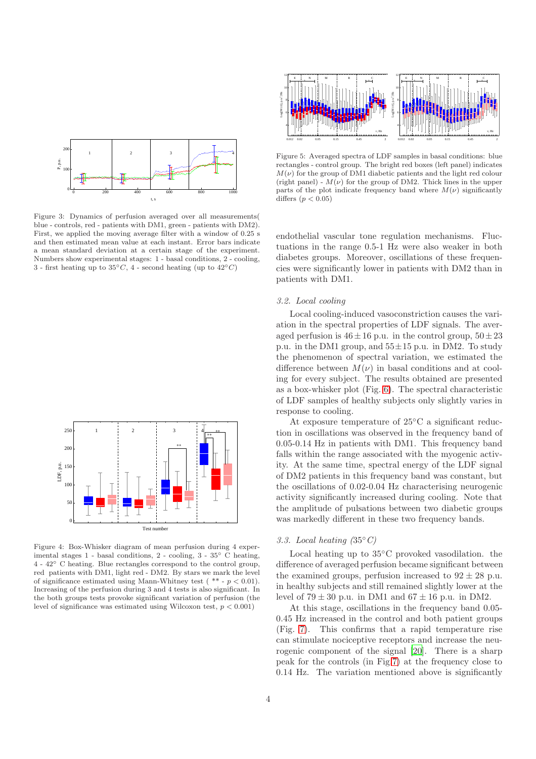

<span id="page-3-1"></span>Figure 3: Dynamics of perfusion averaged over all measurements( blue - controls, red - patients with DM1, green - patients with DM2). First, we applied the moving average filter with a window of 0.25 s and then estimated mean value at each instant. Error bars indicate a mean standard deviation at a certain stage of the experiment. Numbers show experimental stages: 1 - basal conditions, 2 - cooling, 3 - first heating up to  $35^{\circ}C$ , 4 - second heating (up to  $42^{\circ}C$ )



<span id="page-3-0"></span>Figure 4: Box-Whisker diagram of mean perfusion during 4 experimental stages 1 - basal conditions, 2 - cooling, 3 - 35◦ C heating, 4 - 42◦ C heating. Blue rectangles correspond to the control group, red patients with DM1, light red - DM2. By stars we mark the level of significance estimated using Mann-Whitney test ( $** - p < 0.01$ ). Increasing of the perfusion during 3 and 4 tests is also significant. In the both groups tests provoke significant variation of perfusion (the level of significance was estimated using Wilcoxon test,  $p < 0.001$ )



<span id="page-3-2"></span>Figure 5: Averaged spectra of LDF samples in basal conditions: blue rectangles - control group. The bright red boxes (left panel) indicates  $M(\nu)$  for the group of DM1 diabetic patients and the light red colour (right panel) -  $M(\nu)$  for the group of DM2. Thick lines in the upper parts of the plot indicate frequency band where  $M(\nu)$  significantly differs  $(p < 0.05)$ 

endothelial vascular tone regulation mechanisms. Fluctuations in the range 0.5-1 Hz were also weaker in both diabetes groups. Moreover, oscillations of these frequencies were significantly lower in patients with DM2 than in patients with DM1.

## *3.2. Local cooling*

Local cooling-induced vasoconstriction causes the variation in the spectral properties of LDF signals. The averaged perfusion is  $46 \pm 16$  p.u. in the control group,  $50 \pm 23$ p.u. in the DM1 group, and  $55\pm15$  p.u. in DM2. To study the phenomenon of spectral variation, we estimated the difference between  $M(\nu)$  in basal conditions and at cooling for every subject. The results obtained are presented as a box-whisker plot (Fig. [6\)](#page-4-0). The spectral characteristic of LDF samples of healthy subjects only slightly varies in response to cooling.

At exposure temperature of 25◦C a significant reduction in oscillations was observed in the frequency band of 0.05-0.14 Hz in patients with DM1. This frequency band falls within the range associated with the myogenic activity. At the same time, spectral energy of the LDF signal of DM2 patients in this frequency band was constant, but the oscillations of 0.02-0.04 Hz characterising neurogenic activity significantly increased during cooling. Note that the amplitude of pulsations between two diabetic groups was markedly different in these two frequency bands.

#### *3.3. Local heating (*35◦*C)*

Local heating up to 35◦C provoked vasodilation. the difference of averaged perfusion became significant between the examined groups, perfusion increased to  $92 \pm 28$  p.u. in healthy subjects and still remained slightly lower at the level of  $79 \pm 30$  p.u. in DM1 and  $67 \pm 16$  p.u. in DM2.

At this stage, oscillations in the frequency band 0.05- 0.45 Hz increased in the control and both patient groups (Fig. [7\)](#page-4-1). This confirms that a rapid temperature rise can stimulate nociceptive receptors and increase the neurogenic component of the signal [\[20](#page-6-7)]. There is a sharp peak for the controls (in Fig[.7\)](#page-4-1) at the frequency close to 0.14 Hz. The variation mentioned above is significantly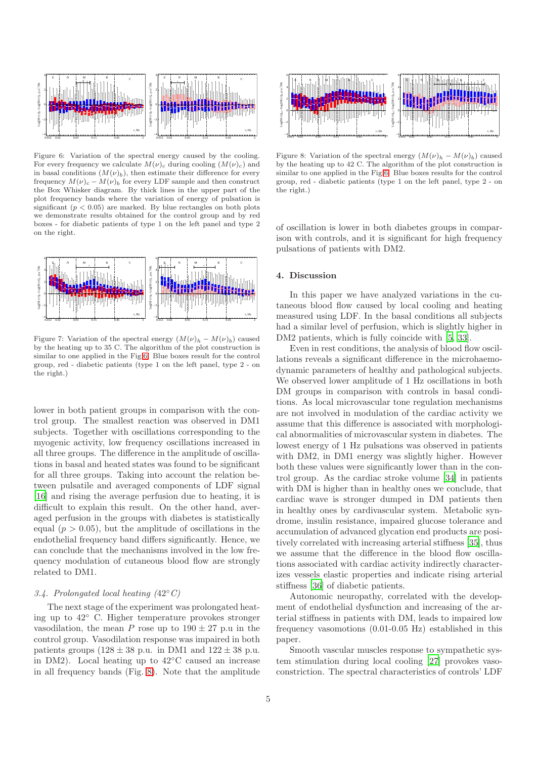

<span id="page-4-0"></span>Figure 6: Variation of the spectral energy caused by the cooling. For every frequency we calculate  $M(\nu)_{c}$  during cooling  $(M(\nu)_{c})$  and in basal conditions  $(M(\nu)_b)$ , then estimate their difference for every frequency  $M(\nu)_{c} - M(\nu)_{b}$  for every LDF sample and then construct the Box Whisker diagram. By thick lines in the upper part of the plot frequency bands where the variation of energy of pulsation is significant  $(p < 0.05)$  are marked. By blue rectangles on both plots we demonstrate results obtained for the control group and by red boxes - for diabetic patients of type 1 on the left panel and type 2 on the right.



<span id="page-4-1"></span>Figure 7: Variation of the spectral energy  $(M(\nu)_h - M(\nu)_b)$  caused by the heating up to 35 C. The algorithm of the plot construction is similar to one applied in the Fig[.6.](#page-4-0) Blue boxes result for the control group, red - diabetic patients (type 1 on the left panel, type 2 - on the right.)

lower in both patient groups in comparison with the control group. The smallest reaction was observed in DM1 subjects. Together with oscillations corresponding to the myogenic activity, low frequency oscillations increased in all three groups. The difference in the amplitude of oscillations in basal and heated states was found to be significant for all three groups. Taking into account the relation between pulsatile and averaged components of LDF signal [\[16](#page-6-3)] and rising the average perfusion due to heating, it is difficult to explain this result. On the other hand, averaged perfusion in the groups with diabetes is statistically equal  $(p > 0.05)$ , but the amplitude of oscillations in the endothelial frequency band differs significantly. Hence, we can conclude that the mechanisms involved in the low frequency modulation of cutaneous blood flow are strongly related to DM1.

# *3.4. Prolongated local heating (*42◦*C)*

The next stage of the experiment was prolongated heating up to 42◦ C. Higher temperature provokes stronger vasodilation, the mean P rose up to  $190 \pm 27$  p.u in the control group. Vasodilation response was impaired in both patients groups  $(128 \pm 38 \text{ p.u.} \text{ in DM1 and } 122 \pm 38 \text{ p.u.}$ in DM2). Local heating up to 42◦C caused an increase in all frequency bands (Fig. [8\)](#page-4-2). Note that the amplitude



<span id="page-4-2"></span>Figure 8: Variation of the spectral energy  $(M(\nu)_h - M(\nu)_b)$  caused by the heating up to 42 C. The algorithm of the plot construction is similar to one applied in the Fig[.6.](#page-4-0) Blue boxes results for the control group, red - diabetic patients (type 1 on the left panel, type 2 - on the right.)

of oscillation is lower in both diabetes groups in comparison with controls, and it is significant for high frequency pulsations of patients with DM2.

# 4. Discussion

In this paper we have analyzed variations in the cutaneous blood flow caused by local cooling and heating measured using LDF. In the basal conditions all subjects had a similar level of perfusion, which is slightly higher in DM2 patients, which is fully coincide with [\[5](#page-5-4), [33](#page-6-20)].

Even in rest conditions, the analysis of blood flow oscillations reveals a significant difference in the microhaemodynamic parameters of healthy and pathological subjects. We observed lower amplitude of 1 Hz oscillations in both DM groups in comparison with controls in basal conditions. As local microvascular tone regulation mechanisms are not involved in modulation of the cardiac activity we assume that this difference is associated with morphological abnormalities of microvascular system in diabetes. The lowest energy of 1 Hz pulsations was observed in patients with DM2, in DM1 energy was slightly higher. However both these values were significantly lower than in the control group. As the cardiac stroke volume [\[34](#page-6-21)] in patients with DM is higher than in healthy ones we conclude, that cardiac wave is stronger dumped in DM patients then in healthy ones by cardivascular system. Metabolic syndrome, insulin resistance, impaired glucose tolerance and accumulation of advanced glycation end products are positively correlated with increasing arterial stiffness [\[35\]](#page-6-22), thus we assume that the difference in the blood flow oscillations associated with cardiac activity indirectly characterizes vessels elastic properties and indicate rising arterial stiffness [\[36\]](#page-6-23) of diabetic patients.

Autonomic neuropathy, correlated with the development of endothelial dysfunction and increasing of the arterial stiffness in patients with DM, leads to impaired low frequency vasomotions (0.01-0.05 Hz) established in this paper.

Smooth vascular muscles response to sympathetic system stimulation during local cooling [\[27\]](#page-6-13) provokes vasoconstriction. The spectral characteristics of controls' LDF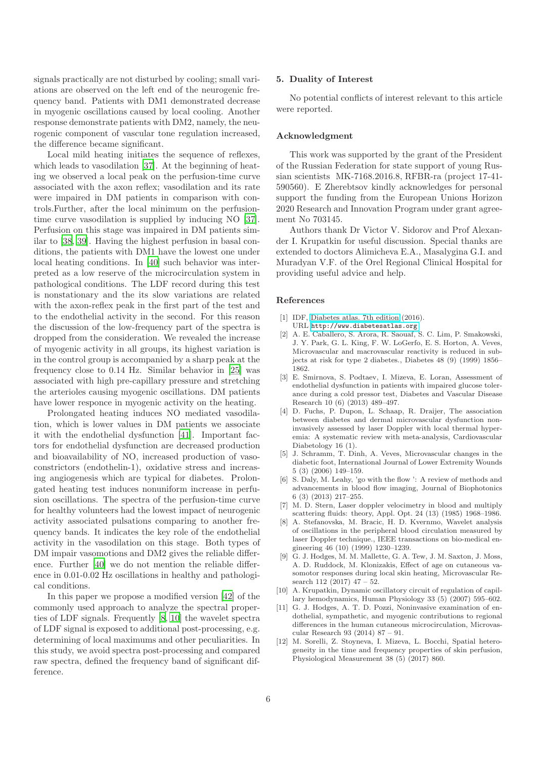signals practically are not disturbed by cooling; small variations are observed on the left end of the neurogenic frequency band. Patients with DM1 demonstrated decrease in myogenic oscillations caused by local cooling. Another response demonstrate patients with DM2, namely, the neurogenic component of vascular tone regulation increased, the difference became significant.

Local mild heating initiates the sequence of reflexes. which leads to vasodilation [\[37\]](#page-6-24). At the beginning of heating we observed a local peak on the perfusion-time curve associated with the axon reflex; vasodilation and its rate were impaired in DM patients in comparison with controls.Further, after the local minimum on the perfusiontime curve vasodilation is supplied by inducing NO [\[37](#page-6-24)]. Perfusion on this stage was impaired in DM patients similar to [\[38,](#page-6-25) [39\]](#page-6-26). Having the highest perfusion in basal conditions, the patients with DM1 have the lowest one under local heating conditions. In [\[40](#page-6-27)] such behavior was interpreted as a low reserve of the microcirculation system in pathological conditions. The LDF record during this test is nonstationary and the its slow variations are related with the axon-reflex peak in the first part of the test and to the endothelial activity in the second. For this reason the discussion of the low-frequency part of the spectra is dropped from the consideration. We revealed the increase of myogenic activity in all groups, its highest variation is in the control group is accompanied by a sharp peak at the frequency close to 0.14 Hz. Similar behavior in [\[25](#page-6-11)] was associated with high pre-capillary pressure and stretching the arterioles causing myogenic oscillations. DM patients have lower responce in myogenic activity on the heating.

Prolongated heating induces NO mediated vasodilation, which is lower values in DM patients we associate it with the endothelial dysfunction [\[41\]](#page-6-28). Important factors for endothelial dysfunction are decreased production and bioavailability of NO, increased production of vasoconstrictors (endothelin-1), oxidative stress and increasing angiogenesis which are typical for diabetes. Prolongated heating test induces nonuniform increase in perfusion oscillations. The spectra of the perfusion-time curve for healthy volunteers had the lowest impact of neurogenic activity associated pulsations comparing to another frequency bands. It indicates the key role of the endothelial activity in the vasodilation on this stage. Both types of DM impair vasomotions and DM2 gives the reliable difference. Further [\[40](#page-6-27)] we do not mention the reliable difference in 0.01-0.02 Hz oscillations in healthy and pathological conditions.

In this paper we propose a modified version [\[42\]](#page-6-29) of the commonly used approach to analyze the spectral properties of LDF signals. Frequently [\[8,](#page-5-7) [10](#page-5-9)] the wavelet spectra of LDF signal is exposed to additional post-processing, e.g. determining of local maximums and other peculiarities. In this study, we avoid spectra post-processing and compared raw spectra, defined the frequency band of significant difference.

#### 5. Duality of Interest

No potential conflicts of interest relevant to this article were reported.

#### Acknowledgment

This work was supported by the grant of the President of the Russian Federation for state support of young Russian scientists MK-7168.2016.8, RFBR-ra (project 17-41- 590560). E Zherebtsov kindly acknowledges for personal support the funding from the European Unions Horizon 2020 Research and Innovation Program under grant agreement No 703145.

Authors thank Dr Victor V. Sidorov and Prof Alexander I. Krupatkin for useful discussion. Special thanks are extended to doctors Alimicheva E.A., Masalygina G.I. and Muradyan V.F. of the Orel Regional Clinical Hospital for providing useful advice and help.

## References

- <span id="page-5-0"></span>[1] IDF, [Diabetes atlas. 7th edition](http://www.diabetesatlas.org) (2016). URL <http://www.diabetesatlas.org>
- <span id="page-5-1"></span>[2] A. E. Caballero, S. Arora, R. Saouaf, S. C. Lim, P. Smakowski, J. Y. Park, G. L. King, F. W. LoGerfo, E. S. Horton, A. Veves, Microvascular and macrovascular reactivity is reduced in subjects at risk for type 2 diabetes., Diabetes 48 (9) (1999) 1856– 1862.
- <span id="page-5-2"></span>[3] E. Smirnova, S. Podtaev, I. Mizeva, E. Loran, Assessment of endothelial dysfunction in patients with impaired glucose tolerance during a cold pressor test, Diabetes and Vascular Disease Research 10 (6) (2013) 489–497.
- <span id="page-5-3"></span>[4] D. Fuchs, P. Dupon, L. Schaap, R. Draijer, The association between diabetes and dermal microvascular dysfunction noninvasively assessed by laser Doppler with local thermal hyperemia: A systematic review with meta-analysis, Cardiovascular Diabetology 16 (1).
- <span id="page-5-4"></span>[5] J. Schramm, T. Dinh, A. Veves, Microvascular changes in the diabetic foot, International Journal of Lower Extremity Wounds 5 (3) (2006) 149–159.
- <span id="page-5-5"></span>[6] S. Daly, M. Leahy, 'go with the flow ': A review of methods and advancements in blood flow imaging, Journal of Biophotonics 6 (3) (2013) 217–255.
- <span id="page-5-6"></span>[7] M. D. Stern, Laser doppler velocimetry in blood and multiply scattering fluids: theory, Appl. Opt. 24 (13) (1985) 1968–1986.
- <span id="page-5-7"></span>[8] A. Stefanovska, M. Bracic, H. D. Kvernmo, Wavelet analysis of oscillations in the peripheral blood circulation measured by laser Doppler technique., IEEE transactions on bio-medical engineering 46 (10) (1999) 1230–1239.
- <span id="page-5-8"></span>[9] G. J. Hodges, M. M. Mallette, G. A. Tew, J. M. Saxton, J. Moss, A. D. Ruddock, M. Klonizakis, Effect of age on cutaneous vasomotor responses during local skin heating, Microvascular Research 112 (2017) 47 – 52.
- <span id="page-5-9"></span>[10] A. Krupatkin, Dynamic oscillatory circuit of regulation of capillary hemodynamics, Human Physiology 33 (5) (2007) 595–602.
- <span id="page-5-10"></span>[11] G. J. Hodges, A. T. D. Pozzi, Noninvasive examination of endothelial, sympathetic, and myogenic contributions to regional differences in the human cutaneous microcirculation, Microvascular Research 93 (2014) 87 – 91.
- <span id="page-5-11"></span>[12] M. Sorelli, Z. Stoyneva, I. Mizeva, L. Bocchi, Spatial heterogeneity in the time and frequency properties of skin perfusion, Physiological Measurement 38 (5) (2017) 860.